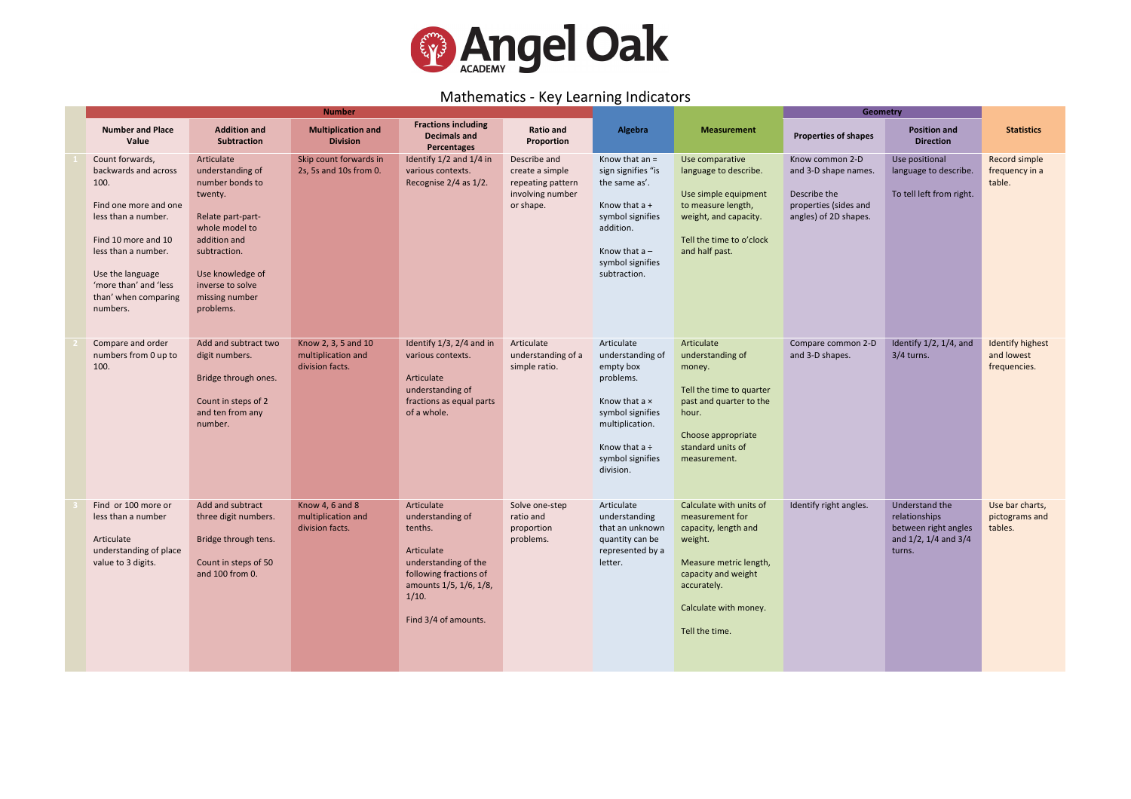

## Mathematics - Key Learning Indicators

| <b>Number</b>                                                                                                                                                                                                                  |                                                                                                                                                                                                            |                                                              |                                                                                                                                                                      |                                                                                       |                                                                                                                                                                         |                                                                                                                                                                                          | Geometry                                                                                                  |                                                                                                  |                                                       |
|--------------------------------------------------------------------------------------------------------------------------------------------------------------------------------------------------------------------------------|------------------------------------------------------------------------------------------------------------------------------------------------------------------------------------------------------------|--------------------------------------------------------------|----------------------------------------------------------------------------------------------------------------------------------------------------------------------|---------------------------------------------------------------------------------------|-------------------------------------------------------------------------------------------------------------------------------------------------------------------------|------------------------------------------------------------------------------------------------------------------------------------------------------------------------------------------|-----------------------------------------------------------------------------------------------------------|--------------------------------------------------------------------------------------------------|-------------------------------------------------------|
| <b>Number and Place</b><br>Value                                                                                                                                                                                               | <b>Addition and</b><br><b>Subtraction</b>                                                                                                                                                                  | <b>Multiplication and</b><br><b>Division</b>                 | <b>Fractions including</b><br><b>Decimals and</b><br>Percentages                                                                                                     | <b>Ratio and</b><br>Proportion                                                        | Algebra                                                                                                                                                                 | <b>Measurement</b>                                                                                                                                                                       | <b>Properties of shapes</b>                                                                               | <b>Position and</b><br><b>Direction</b>                                                          | <b>Statistics</b>                                     |
| Count forwards,<br>backwards and across<br>100.<br>Find one more and one<br>less than a number.<br>Find 10 more and 10<br>less than a number.<br>Use the language<br>'more than' and 'less<br>than' when comparing<br>numbers. | Articulate<br>understanding of<br>number bonds to<br>twenty.<br>Relate part-part-<br>whole model to<br>addition and<br>subtraction.<br>Use knowledge of<br>inverse to solve<br>missing number<br>problems. | Skip count forwards in<br>2s, 5s and 10s from 0.             | Identify 1/2 and 1/4 in<br>various contexts.<br>Recognise 2/4 as 1/2.                                                                                                | Describe and<br>create a simple<br>repeating pattern<br>involving number<br>or shape. | Know that $an =$<br>sign signifies "is<br>the same as'.<br>Know that a +<br>symbol signifies<br>addition.<br>Know that $a -$<br>symbol signifies<br>subtraction.        | Use comparative<br>language to describe.<br>Use simple equipment<br>to measure length,<br>weight, and capacity.<br>Tell the time to o'clock<br>and half past.                            | Know common 2-D<br>and 3-D shape names.<br>Describe the<br>properties (sides and<br>angles) of 2D shapes. | Use positional<br>language to describe.<br>To tell left from right.                              | Record simple<br>frequency in a<br>table.             |
| Compare and order<br>numbers from 0 up to<br>100.                                                                                                                                                                              | Add and subtract two<br>digit numbers.<br>Bridge through ones.<br>Count in steps of 2<br>and ten from any<br>number.                                                                                       | Know 2, 3, 5 and 10<br>multiplication and<br>division facts. | Identify 1/3, 2/4 and in<br>various contexts.<br>Articulate<br>understanding of<br>fractions as equal parts<br>of a whole.                                           | Articulate<br>understanding of a<br>simple ratio.                                     | Articulate<br>understanding of<br>empty box<br>problems.<br>Know that a x<br>symbol signifies<br>multiplication.<br>Know that $a \div$<br>symbol signifies<br>division. | Articulate<br>understanding of<br>money.<br>Tell the time to quarter<br>past and quarter to the<br>hour.<br>Choose appropriate<br>standard units of<br>measurement.                      | Compare common 2-D<br>and 3-D shapes.                                                                     | Identify $1/2$ , $1/4$ , and<br>$3/4$ turns.                                                     | <b>Identify highest</b><br>and lowest<br>frequencies. |
| Find or 100 more or<br>less than a number<br>Articulate<br>understanding of place<br>value to 3 digits.                                                                                                                        | Add and subtract<br>three digit numbers.<br>Bridge through tens.<br>Count in steps of 50<br>and 100 from 0.                                                                                                | Know 4, 6 and 8<br>multiplication and<br>division facts.     | Articulate<br>understanding of<br>tenths.<br>Articulate<br>understanding of the<br>following fractions of<br>amounts 1/5, 1/6, 1/8,<br>1/10.<br>Find 3/4 of amounts. | Solve one-step<br>ratio and<br>proportion<br>problems.                                | Articulate<br>understanding<br>that an unknown<br>quantity can be<br>represented by a<br>letter.                                                                        | Calculate with units of<br>measurement for<br>capacity, length and<br>weight.<br>Measure metric length,<br>capacity and weight<br>accurately.<br>Calculate with money.<br>Tell the time. | Identify right angles.                                                                                    | Understand the<br>relationships<br>between right angles<br>and $1/2$ , $1/4$ and $3/4$<br>turns. | Use bar charts,<br>pictograms and<br>tables.          |